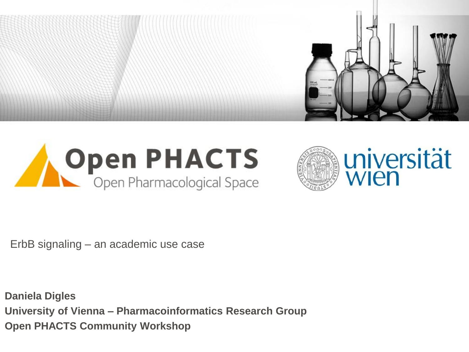





ErbB signaling – an academic use case

**Daniela Digles University of Vienna – Pharmacoinformatics Research Group Open PHACTS Community Workshop**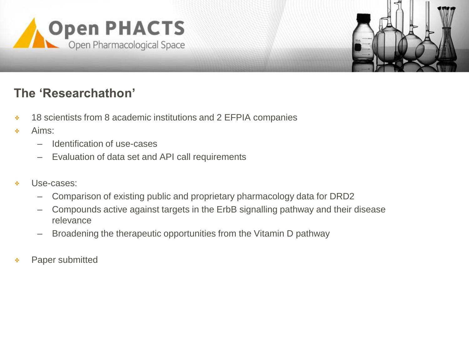



## **The 'Researchathon'**

- 18 scientists from 8 academic institutions and 2 EFPIA companies ٠
- Aims: ٠
	- Identification of use-cases
	- Evaluation of data set and API call requirements
- Use-cases: ٠
	- Comparison of existing public and proprietary pharmacology data for DRD2
	- Compounds active against targets in the ErbB signalling pathway and their disease relevance
	- Broadening the therapeutic opportunities from the Vitamin D pathway
- Paper submitted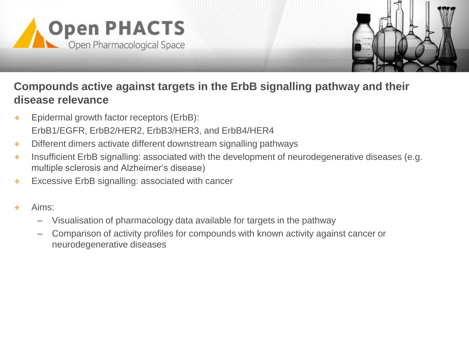



#### **Compounds active against targets in the ErbB signalling pathway and their disease relevance**

- Epidermal growth factor receptors (ErbB): ×. ErbB1/EGFR, ErbB2/HER2, ErbB3/HER3, and ErbB4/HER4
- Different dimers activate different downstream signalling pathways ٠
- Insufficient ErbB signalling: associated with the development of neurodegenerative diseases (e.g. ٠ multiple sclerosis and Alzheimer's disease)
- Excessive ErbB signalling: associated with cancer ٠
- Aims: ۰
	- Visualisation of pharmacology data available for targets in the pathway
	- Comparison of activity profiles for compounds with known activity against cancer or neurodegenerative diseases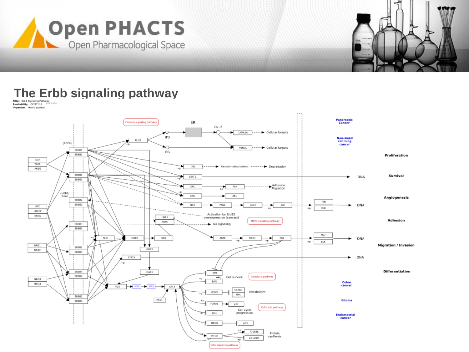



# **The Erbb signaling pathway**<br> **Signaling pathway**

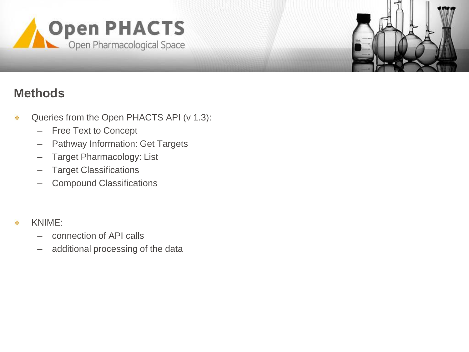



#### **Methods**

- Queries from the Open PHACTS API (v 1.3): ÷
	- Free Text to Concept
	- Pathway Information: Get Targets
	- Target Pharmacology: List
	- Target Classifications
	- Compound Classifications
- KNIME: ٠
	- connection of API calls
	- additional processing of the data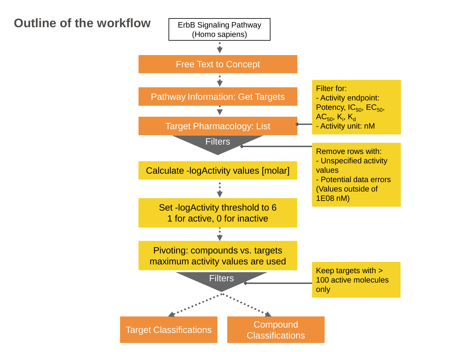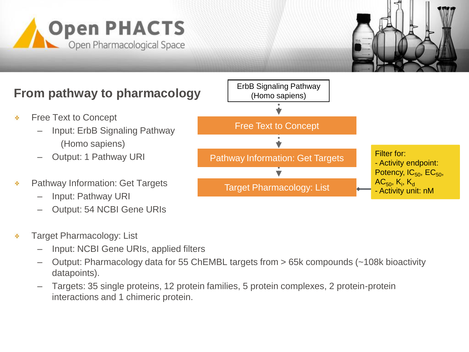



# **From pathway to pharmacology**

- Free Text to Concept ×.
	- Input: ErbB Signaling Pathway (Homo sapiens)
	- Output: 1 Pathway URI
- Pathway Information: Get Targets ٠
	- Input: Pathway URI
	- Output: 54 NCBI Gene URIs
- Target Pharmacology: List ۰
	- Input: NCBI Gene URIs, applied filters
	- Output: Pharmacology data for 55 ChEMBL targets from > 65k compounds (~108k bioactivity datapoints).
	- Targets: 35 single proteins, 12 protein families, 5 protein complexes, 2 protein-protein interactions and 1 chimeric protein.

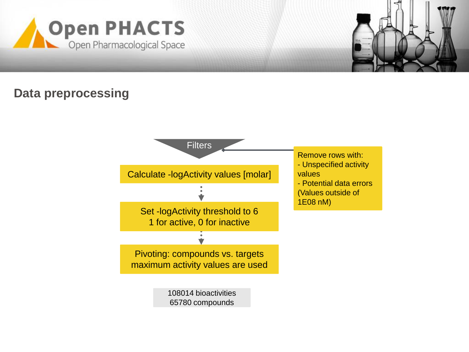



#### **Data preprocessing**

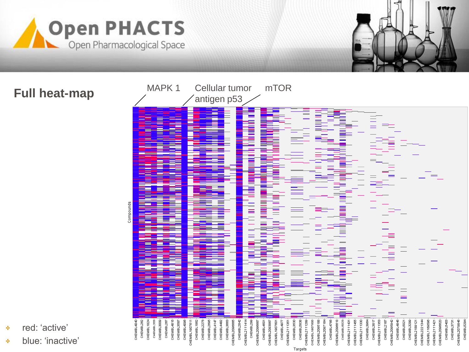



## **Full heat-map**



- red: 'active' ×.
- blue: 'inactive' ×,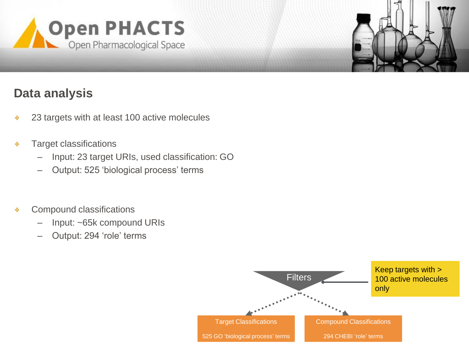



## **Data analysis**

- 23 targets with at least 100 active molecules ÷
- Target classifications ٠
	- Input: 23 target URIs, used classification: GO
	- Output: 525 'biological process' terms
- Compound classifications ٠
	- Input: ~65k compound URIs
	- Output: 294 'role' terms

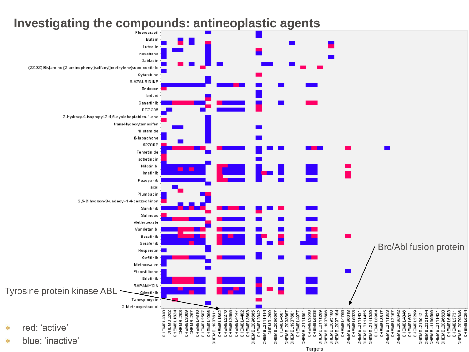#### **Investigating the compounds: antineoplastic agents**

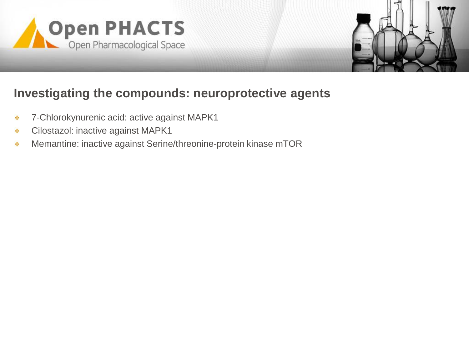



#### **Investigating the compounds: neuroprotective agents**

- 7-Chlorokynurenic acid: active against MAPK1 ×.
- Cilostazol: inactive against MAPK1 ÷
- Memantine: inactive against Serine/threonine-protein kinase mTOR÷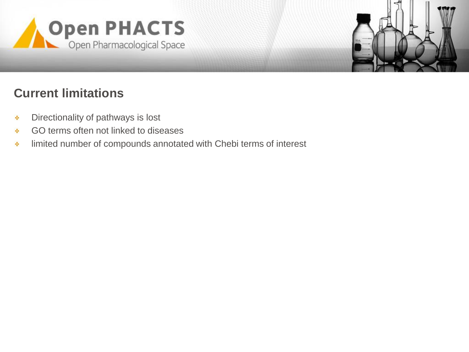



# **Current limitations**

- Directionality of pathways is lost ×,
- GO terms often not linked to diseases ÷
- limited number of compounds annotated with Chebi terms of interest÷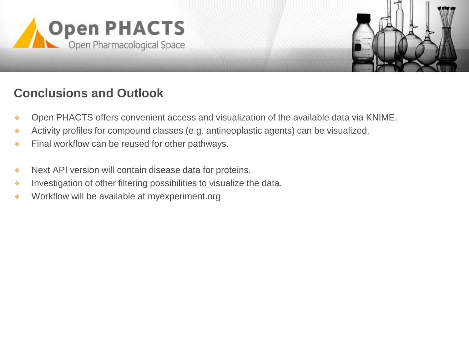

![](_page_13_Picture_1.jpeg)

## **Conclusions and Outlook**

- Open PHACTS offers convenient access and visualization of the available data via KNIME. ×.
- Activity profiles for compound classes (e.g. antineoplastic agents) can be visualized. ٠
- Final workflow can be reused for other pathways. ÷
- Next API version will contain disease data for proteins. ٠
- Investigation of other filtering possibilities to visualize the data. ÷
- Workflow will be available at myexperiment.org÷